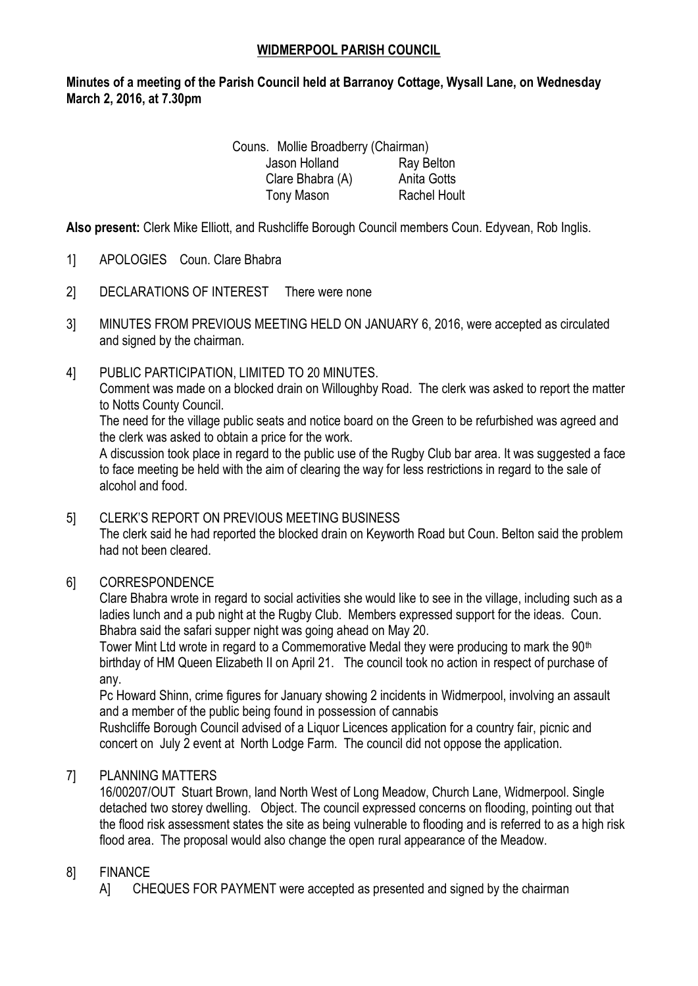### **WIDMERPOOL PARISH COUNCIL**

## **Minutes of a meeting of the Parish Council held at Barranoy Cottage, Wysall Lane, on Wednesday March 2, 2016, at 7.30pm**

Couns. Mollie Broadberry (Chairman) Jason Holland Ray Belton Clare Bhabra (A) Anita Gotts Tony Mason Rachel Hoult

**Also present:** Clerk Mike Elliott, and Rushcliffe Borough Council members Coun. Edyvean, Rob Inglis.

- 1] APOLOGIES Coun. Clare Bhabra
- 2] DECLARATIONS OF INTEREST There were none
- 3] MINUTES FROM PREVIOUS MEETING HELD ON JANUARY 6, 2016, were accepted as circulated and signed by the chairman.
- 4] PUBLIC PARTICIPATION, LIMITED TO 20 MINUTES.

Comment was made on a blocked drain on Willoughby Road. The clerk was asked to report the matter to Notts County Council.

The need for the village public seats and notice board on the Green to be refurbished was agreed and the clerk was asked to obtain a price for the work.

A discussion took place in regard to the public use of the Rugby Club bar area. It was suggested a face to face meeting be held with the aim of clearing the way for less restrictions in regard to the sale of alcohol and food.

### 5] CLERK'S REPORT ON PREVIOUS MEETING BUSINESS

The clerk said he had reported the blocked drain on Keyworth Road but Coun. Belton said the problem had not been cleared.

### 6] CORRESPONDENCE

Clare Bhabra wrote in regard to social activities she would like to see in the village, including such as a ladies lunch and a pub night at the Rugby Club. Members expressed support for the ideas. Coun. Bhabra said the safari supper night was going ahead on May 20.

Tower Mint Ltd wrote in regard to a Commemorative Medal they were producing to mark the 90<sup>th</sup> birthday of HM Queen Elizabeth II on April 21. The council took no action in respect of purchase of any.

Pc Howard Shinn, crime figures for January showing 2 incidents in Widmerpool, involving an assault and a member of the public being found in possession of cannabis

Rushcliffe Borough Council advised of a Liquor Licences application for a country fair, picnic and concert on July 2 event at North Lodge Farm. The council did not oppose the application.

## 7] PLANNING MATTERS

16/00207/OUT Stuart Brown, land North West of Long Meadow, Church Lane, Widmerpool. Single detached two storey dwelling. Object. The council expressed concerns on flooding, pointing out that the flood risk assessment states the site as being vulnerable to flooding and is referred to as a high risk flood area. The proposal would also change the open rural appearance of the Meadow.

### 8] FINANCE

A] CHEQUES FOR PAYMENT were accepted as presented and signed by the chairman